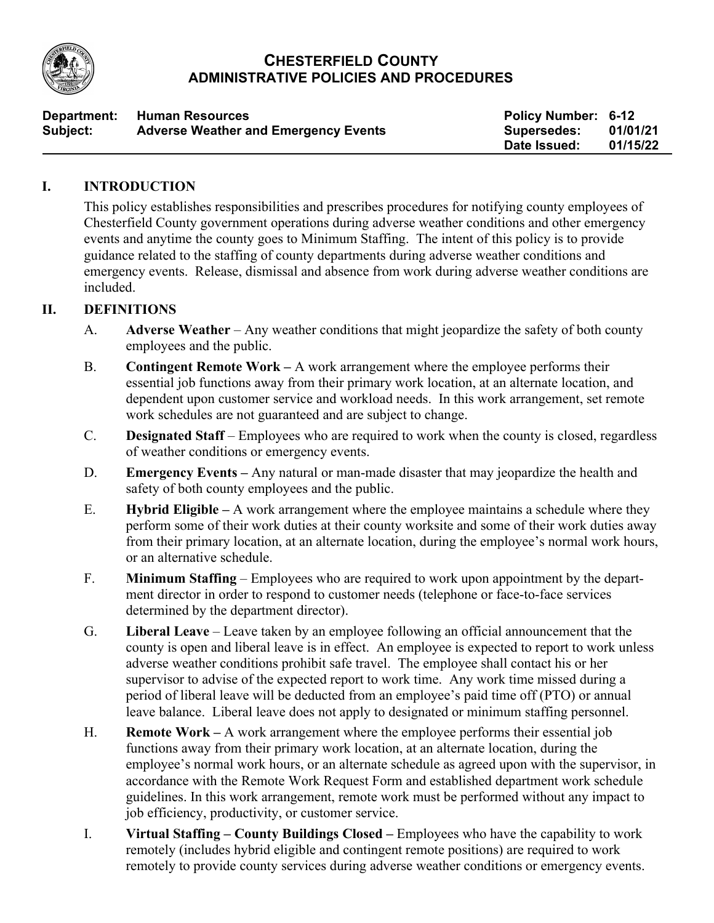

## **CHESTERFIELD COUNTY ADMINISTRATIVE POLICIES AND PROCEDURES**

| Department: | <b>Human Resources</b>                      | <b>Policy Number: 6-12</b> |          |
|-------------|---------------------------------------------|----------------------------|----------|
| Subject:    | <b>Adverse Weather and Emergency Events</b> | Supersedes:                | 01/01/21 |
|             |                                             | Date Issued:               | 01/15/22 |

#### **I. INTRODUCTION**

This policy establishes responsibilities and prescribes procedures for notifying county employees of Chesterfield County government operations during adverse weather conditions and other emergency events and anytime the county goes to Minimum Staffing. The intent of this policy is to provide guidance related to the staffing of county departments during adverse weather conditions and emergency events. Release, dismissal and absence from work during adverse weather conditions are included.

## **II. DEFINITIONS**

- A. **Adverse Weather** Any weather conditions that might jeopardize the safety of both county employees and the public.
- B. **Contingent Remote Work –** A work arrangement where the employee performs their essential job functions away from their primary work location, at an alternate location, and dependent upon customer service and workload needs. In this work arrangement, set remote work schedules are not guaranteed and are subject to change.
- C. **Designated Staff** Employees who are required to work when the county is closed, regardless of weather conditions or emergency events.
- D. **Emergency Events –** Any natural or man-made disaster that may jeopardize the health and safety of both county employees and the public.
- E. **Hybrid Eligible –** A work arrangement where the employee maintains a schedule where they perform some of their work duties at their county worksite and some of their work duties away from their primary location, at an alternate location, during the employee's normal work hours, or an alternative schedule.
- F. **Minimum Staffing** Employees who are required to work upon appointment by the department director in order to respond to customer needs (telephone or face-to-face services determined by the department director).
- G. **Liberal Leave** Leave taken by an employee following an official announcement that the county is open and liberal leave is in effect. An employee is expected to report to work unless adverse weather conditions prohibit safe travel. The employee shall contact his or her supervisor to advise of the expected report to work time. Any work time missed during a period of liberal leave will be deducted from an employee's paid time off (PTO) or annual leave balance. Liberal leave does not apply to designated or minimum staffing personnel.
- H. **Remote Work –** A work arrangement where the employee performs their essential job functions away from their primary work location, at an alternate location, during the employee's normal work hours, or an alternate schedule as agreed upon with the supervisor, in accordance with the Remote Work Request Form and established department work schedule guidelines. In this work arrangement, remote work must be performed without any impact to job efficiency, productivity, or customer service.
- I. **Virtual Staffing – County Buildings Closed –** Employees who have the capability to work remotely (includes hybrid eligible and contingent remote positions) are required to work remotely to provide county services during adverse weather conditions or emergency events.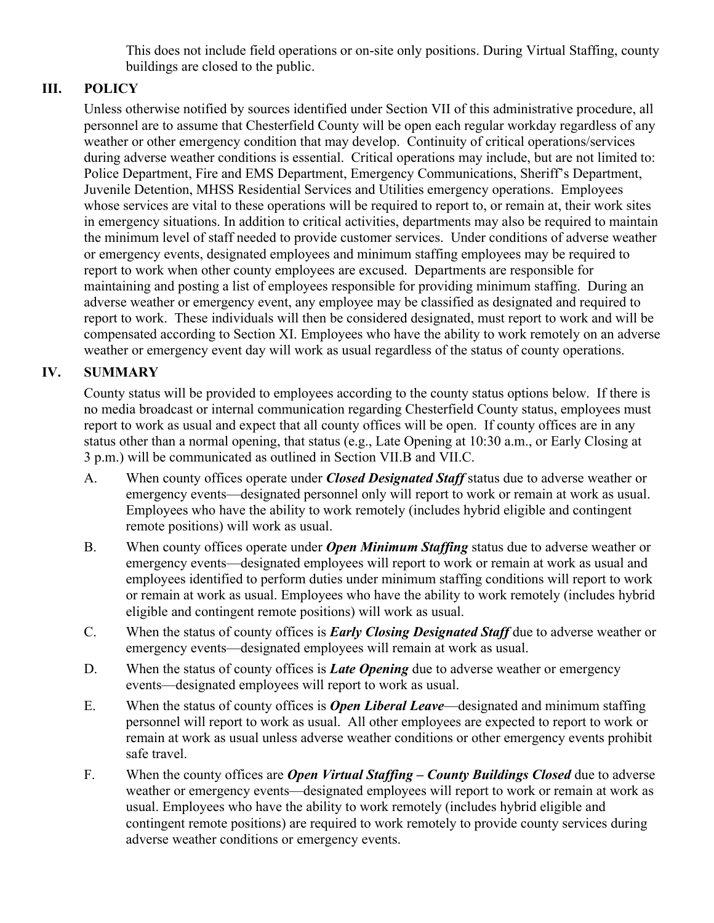This does not include field operations or on-site only positions. During Virtual Staffing, county buildings are closed to the public.

## **III. POLICY**

Unless otherwise notified by sources identified under Section VII of this administrative procedure, all personnel are to assume that Chesterfield County will be open each regular workday regardless of any weather or other emergency condition that may develop. Continuity of critical operations/services during adverse weather conditions is essential. Critical operations may include, but are not limited to: Police Department, Fire and EMS Department, Emergency Communications, Sheriff's Department, Juvenile Detention, MHSS Residential Services and Utilities emergency operations. Employees whose services are vital to these operations will be required to report to, or remain at, their work sites in emergency situations. In addition to critical activities, departments may also be required to maintain the minimum level of staff needed to provide customer services. Under conditions of adverse weather or emergency events, designated employees and minimum staffing employees may be required to report to work when other county employees are excused. Departments are responsible for maintaining and posting a list of employees responsible for providing minimum staffing. During an adverse weather or emergency event, any employee may be classified as designated and required to report to work. These individuals will then be considered designated, must report to work and will be compensated according to Section XI. Employees who have the ability to work remotely on an adverse weather or emergency event day will work as usual regardless of the status of county operations.

#### **IV. SUMMARY**

County status will be provided to employees according to the county status options below. If there is no media broadcast or internal communication regarding Chesterfield County status, employees must report to work as usual and expect that all county offices will be open. If county offices are in any status other than a normal opening, that status (e.g., Late Opening at 10:30 a.m., or Early Closing at 3 p.m.) will be communicated as outlined in Section VII.B and VII.C.

- A. When county offices operate under *Closed Designated Staff* status due to adverse weather or emergency events—designated personnel only will report to work or remain at work as usual. Employees who have the ability to work remotely (includes hybrid eligible and contingent remote positions) will work as usual.
- B. When county offices operate under *Open Minimum Staffing* status due to adverse weather or emergency events—designated employees will report to work or remain at work as usual and employees identified to perform duties under minimum staffing conditions will report to work or remain at work as usual. Employees who have the ability to work remotely (includes hybrid eligible and contingent remote positions) will work as usual.
- C. When the status of county offices is *Early Closing Designated Staff* due to adverse weather or emergency events—designated employees will remain at work as usual.
- D. When the status of county offices is *Late Opening* due to adverse weather or emergency events—designated employees will report to work as usual.
- E. When the status of county offices is *Open Liberal Leave*—designated and minimum staffing personnel will report to work as usual. All other employees are expected to report to work or remain at work as usual unless adverse weather conditions or other emergency events prohibit safe travel.
- F. When the county offices are *Open Virtual Staffing – County Buildings Closed* due to adverse weather or emergency events—designated employees will report to work or remain at work as usual. Employees who have the ability to work remotely (includes hybrid eligible and contingent remote positions) are required to work remotely to provide county services during adverse weather conditions or emergency events.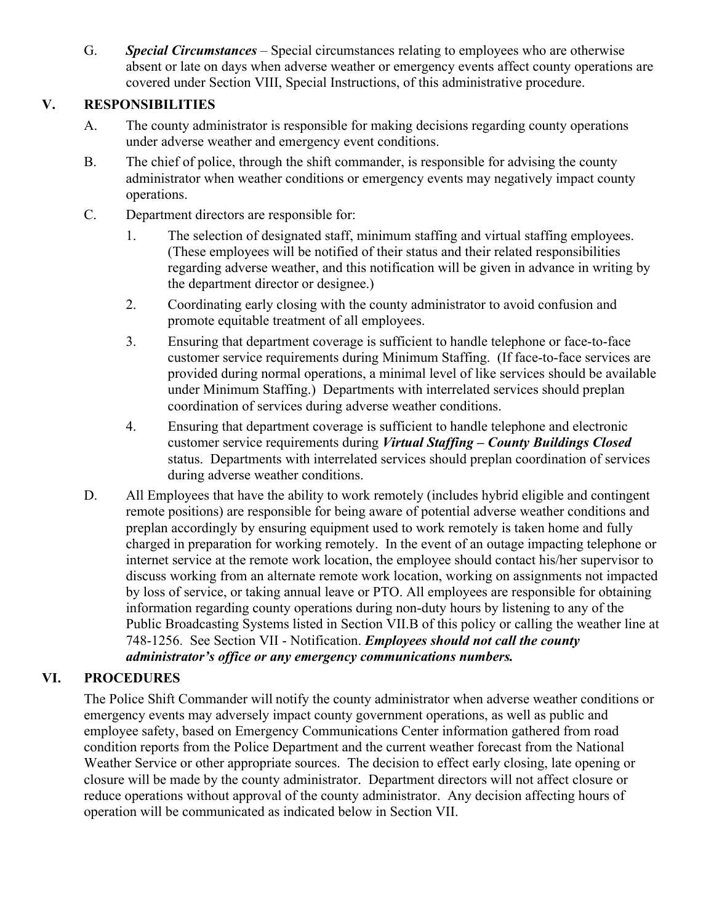G. *Special Circumstances* – Special circumstances relating to employees who are otherwise absent or late on days when adverse weather or emergency events affect county operations are covered under Section VIII, Special Instructions, of this administrative procedure.

## **V. RESPONSIBILITIES**

- A. The county administrator is responsible for making decisions regarding county operations under adverse weather and emergency event conditions.
- B. The chief of police, through the shift commander, is responsible for advising the county administrator when weather conditions or emergency events may negatively impact county operations.
- C. Department directors are responsible for:
	- 1. The selection of designated staff, minimum staffing and virtual staffing employees. (These employees will be notified of their status and their related responsibilities regarding adverse weather, and this notification will be given in advance in writing by the department director or designee.)
	- 2. Coordinating early closing with the county administrator to avoid confusion and promote equitable treatment of all employees.
	- 3. Ensuring that department coverage is sufficient to handle telephone or face-to-face customer service requirements during Minimum Staffing. (If face-to-face services are provided during normal operations, a minimal level of like services should be available under Minimum Staffing.) Departments with interrelated services should preplan coordination of services during adverse weather conditions.
	- 4. Ensuring that department coverage is sufficient to handle telephone and electronic customer service requirements during *Virtual Staffing – County Buildings Closed* status. Departments with interrelated services should preplan coordination of services during adverse weather conditions.
- D. All Employees that have the ability to work remotely (includes hybrid eligible and contingent remote positions) are responsible for being aware of potential adverse weather conditions and preplan accordingly by ensuring equipment used to work remotely is taken home and fully charged in preparation for working remotely. In the event of an outage impacting telephone or internet service at the remote work location, the employee should contact his/her supervisor to discuss working from an alternate remote work location, working on assignments not impacted by loss of service, or taking annual leave or PTO. All employees are responsible for obtaining information regarding county operations during non-duty hours by listening to any of the Public Broadcasting Systems listed in Section VII.B of this policy or calling the weather line at 748-1256. See Section VII - Notification. *Employees should not call the county administrator's office or any emergency communications numbers.*

## **VI. PROCEDURES**

The Police Shift Commander will notify the county administrator when adverse weather conditions or emergency events may adversely impact county government operations, as well as public and employee safety, based on Emergency Communications Center information gathered from road condition reports from the Police Department and the current weather forecast from the National Weather Service or other appropriate sources. The decision to effect early closing, late opening or closure will be made by the county administrator. Department directors will not affect closure or reduce operations without approval of the county administrator. Any decision affecting hours of operation will be communicated as indicated below in Section VII.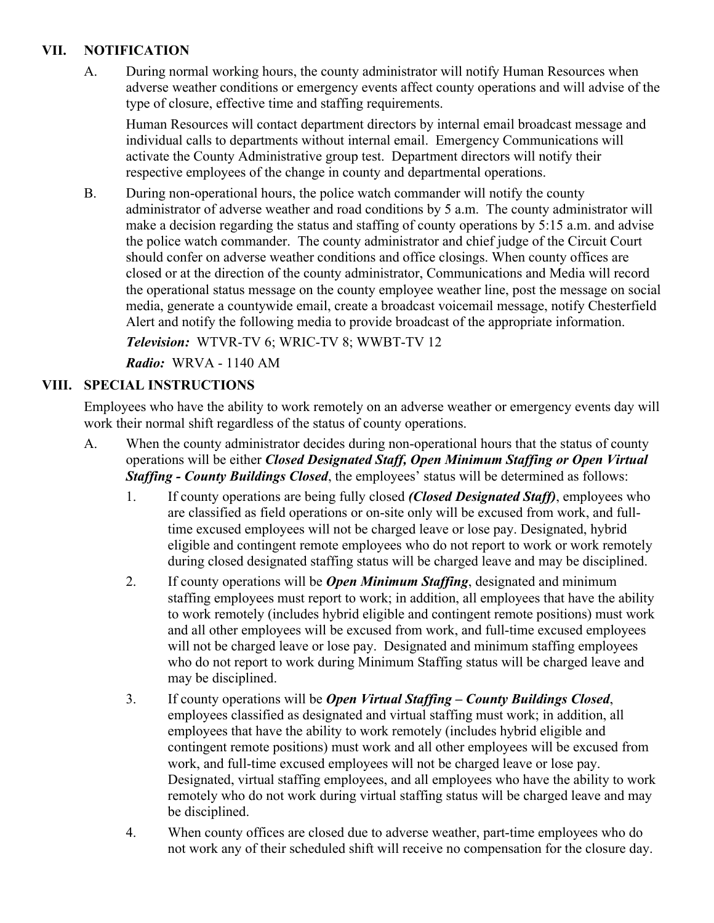#### **VII. NOTIFICATION**

A. During normal working hours, the county administrator will notify Human Resources when adverse weather conditions or emergency events affect county operations and will advise of the type of closure, effective time and staffing requirements.

Human Resources will contact department directors by internal email broadcast message and individual calls to departments without internal email. Emergency Communications will activate the County Administrative group test. Department directors will notify their respective employees of the change in county and departmental operations.

B. During non-operational hours, the police watch commander will notify the county administrator of adverse weather and road conditions by 5 a.m. The county administrator will make a decision regarding the status and staffing of county operations by 5:15 a.m. and advise the police watch commander. The county administrator and chief judge of the Circuit Court should confer on adverse weather conditions and office closings. When county offices are closed or at the direction of the county administrator, Communications and Media will record the operational status message on the county employee weather line, post the message on social media, generate a countywide email, create a broadcast voicemail message, notify Chesterfield Alert and notify the following media to provide broadcast of the appropriate information.

*Television:* WTVR-TV 6; WRIC-TV 8; WWBT-TV 12

*Radio:* WRVA - 1140 AM

## **VIII. SPECIAL INSTRUCTIONS**

Employees who have the ability to work remotely on an adverse weather or emergency events day will work their normal shift regardless of the status of county operations.

- A. When the county administrator decides during non-operational hours that the status of county operations will be either *Closed Designated Staff, Open Minimum Staffing or Open Virtual Staffing - County Buildings Closed*, the employees' status will be determined as follows:
	- 1. If county operations are being fully closed *(Closed Designated Staff)*, employees who are classified as field operations or on-site only will be excused from work, and fulltime excused employees will not be charged leave or lose pay. Designated, hybrid eligible and contingent remote employees who do not report to work or work remotely during closed designated staffing status will be charged leave and may be disciplined.
	- 2. If county operations will be *Open Minimum Staffing*, designated and minimum staffing employees must report to work; in addition, all employees that have the ability to work remotely (includes hybrid eligible and contingent remote positions) must work and all other employees will be excused from work, and full-time excused employees will not be charged leave or lose pay. Designated and minimum staffing employees who do not report to work during Minimum Staffing status will be charged leave and may be disciplined.
	- 3. If county operations will be *Open Virtual Staffing – County Buildings Closed*, employees classified as designated and virtual staffing must work; in addition, all employees that have the ability to work remotely (includes hybrid eligible and contingent remote positions) must work and all other employees will be excused from work, and full-time excused employees will not be charged leave or lose pay. Designated, virtual staffing employees, and all employees who have the ability to work remotely who do not work during virtual staffing status will be charged leave and may be disciplined.
	- 4. When county offices are closed due to adverse weather, part-time employees who do not work any of their scheduled shift will receive no compensation for the closure day.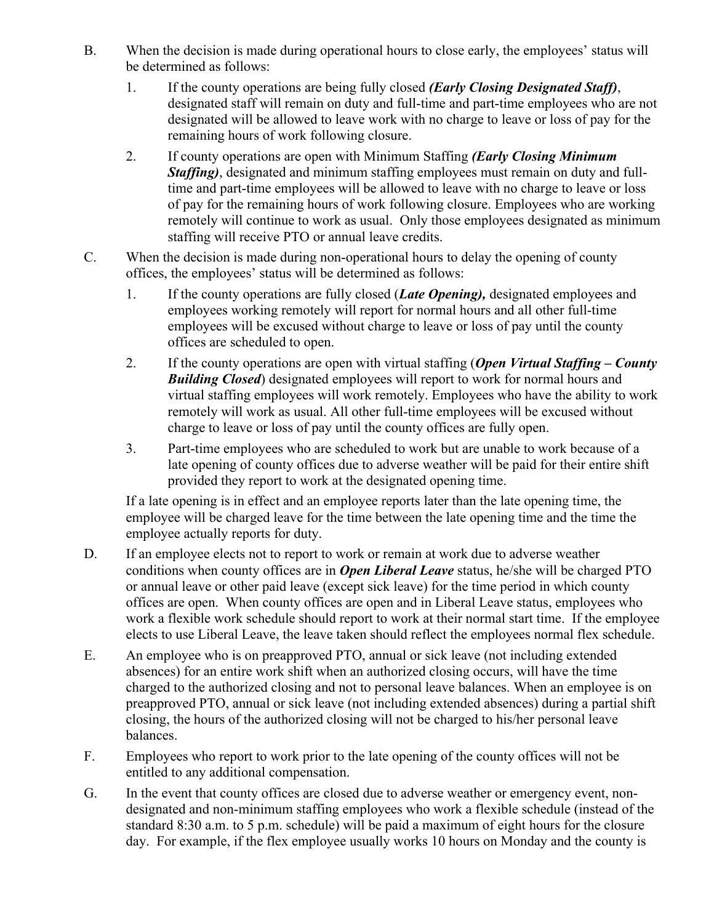- B. When the decision is made during operational hours to close early, the employees' status will be determined as follows:
	- 1. If the county operations are being fully closed *(Early Closing Designated Staff)*, designated staff will remain on duty and full-time and part-time employees who are not designated will be allowed to leave work with no charge to leave or loss of pay for the remaining hours of work following closure.
	- 2. If county operations are open with Minimum Staffing *(Early Closing Minimum Staffing)*, designated and minimum staffing employees must remain on duty and fulltime and part-time employees will be allowed to leave with no charge to leave or loss of pay for the remaining hours of work following closure. Employees who are working remotely will continue to work as usual. Only those employees designated as minimum staffing will receive PTO or annual leave credits.
- C. When the decision is made during non-operational hours to delay the opening of county offices, the employees' status will be determined as follows:
	- 1. If the county operations are fully closed (*Late Opening),* designated employees and employees working remotely will report for normal hours and all other full-time employees will be excused without charge to leave or loss of pay until the county offices are scheduled to open.
	- 2. If the county operations are open with virtual staffing (*Open Virtual Staffing – County Building Closed*) designated employees will report to work for normal hours and virtual staffing employees will work remotely. Employees who have the ability to work remotely will work as usual. All other full-time employees will be excused without charge to leave or loss of pay until the county offices are fully open.
	- 3. Part-time employees who are scheduled to work but are unable to work because of a late opening of county offices due to adverse weather will be paid for their entire shift provided they report to work at the designated opening time.

If a late opening is in effect and an employee reports later than the late opening time, the employee will be charged leave for the time between the late opening time and the time the employee actually reports for duty.

- D. If an employee elects not to report to work or remain at work due to adverse weather conditions when county offices are in *Open Liberal Leave* status, he/she will be charged PTO or annual leave or other paid leave (except sick leave) for the time period in which county offices are open. When county offices are open and in Liberal Leave status, employees who work a flexible work schedule should report to work at their normal start time. If the employee elects to use Liberal Leave, the leave taken should reflect the employees normal flex schedule.
- E. An employee who is on preapproved PTO, annual or sick leave (not including extended absences) for an entire work shift when an authorized closing occurs, will have the time charged to the authorized closing and not to personal leave balances. When an employee is on preapproved PTO, annual or sick leave (not including extended absences) during a partial shift closing, the hours of the authorized closing will not be charged to his/her personal leave balances.
- F. Employees who report to work prior to the late opening of the county offices will not be entitled to any additional compensation.
- G. In the event that county offices are closed due to adverse weather or emergency event, nondesignated and non-minimum staffing employees who work a flexible schedule (instead of the standard 8:30 a.m. to 5 p.m. schedule) will be paid a maximum of eight hours for the closure day. For example, if the flex employee usually works 10 hours on Monday and the county is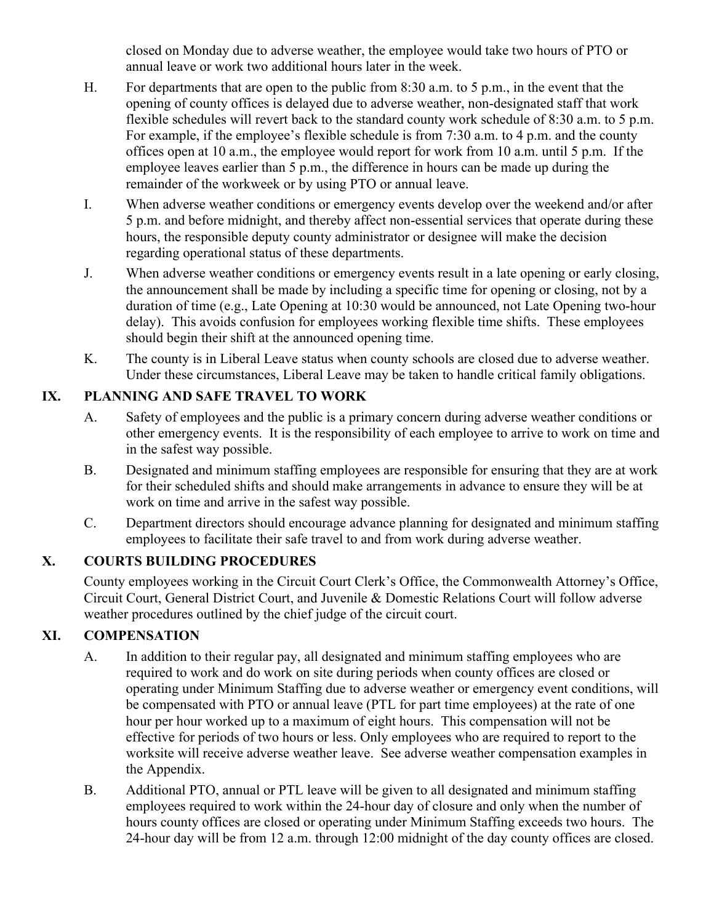closed on Monday due to adverse weather, the employee would take two hours of PTO or annual leave or work two additional hours later in the week.

- H. For departments that are open to the public from 8:30 a.m. to 5 p.m., in the event that the opening of county offices is delayed due to adverse weather, non-designated staff that work flexible schedules will revert back to the standard county work schedule of 8:30 a.m. to 5 p.m. For example, if the employee's flexible schedule is from 7:30 a.m. to 4 p.m. and the county offices open at 10 a.m., the employee would report for work from 10 a.m. until 5 p.m. If the employee leaves earlier than 5 p.m., the difference in hours can be made up during the remainder of the workweek or by using PTO or annual leave.
- I. When adverse weather conditions or emergency events develop over the weekend and/or after 5 p.m. and before midnight, and thereby affect non-essential services that operate during these hours, the responsible deputy county administrator or designee will make the decision regarding operational status of these departments.
- J. When adverse weather conditions or emergency events result in a late opening or early closing, the announcement shall be made by including a specific time for opening or closing, not by a duration of time (e.g., Late Opening at 10:30 would be announced, not Late Opening two-hour delay). This avoids confusion for employees working flexible time shifts. These employees should begin their shift at the announced opening time.
- K. The county is in Liberal Leave status when county schools are closed due to adverse weather. Under these circumstances, Liberal Leave may be taken to handle critical family obligations.

## **IX. PLANNING AND SAFE TRAVEL TO WORK**

- A. Safety of employees and the public is a primary concern during adverse weather conditions or other emergency events. It is the responsibility of each employee to arrive to work on time and in the safest way possible.
- B. Designated and minimum staffing employees are responsible for ensuring that they are at work for their scheduled shifts and should make arrangements in advance to ensure they will be at work on time and arrive in the safest way possible.
- C. Department directors should encourage advance planning for designated and minimum staffing employees to facilitate their safe travel to and from work during adverse weather.

## **X. COURTS BUILDING PROCEDURES**

County employees working in the Circuit Court Clerk's Office, the Commonwealth Attorney's Office, Circuit Court, General District Court, and Juvenile & Domestic Relations Court will follow adverse weather procedures outlined by the chief judge of the circuit court.

## **XI. COMPENSATION**

- A. In addition to their regular pay, all designated and minimum staffing employees who are required to work and do work on site during periods when county offices are closed or operating under Minimum Staffing due to adverse weather or emergency event conditions, will be compensated with PTO or annual leave (PTL for part time employees) at the rate of one hour per hour worked up to a maximum of eight hours. This compensation will not be effective for periods of two hours or less. Only employees who are required to report to the worksite will receive adverse weather leave. See adverse weather compensation examples in the Appendix.
- B. Additional PTO, annual or PTL leave will be given to all designated and minimum staffing employees required to work within the 24-hour day of closure and only when the number of hours county offices are closed or operating under Minimum Staffing exceeds two hours. The 24-hour day will be from 12 a.m. through 12:00 midnight of the day county offices are closed.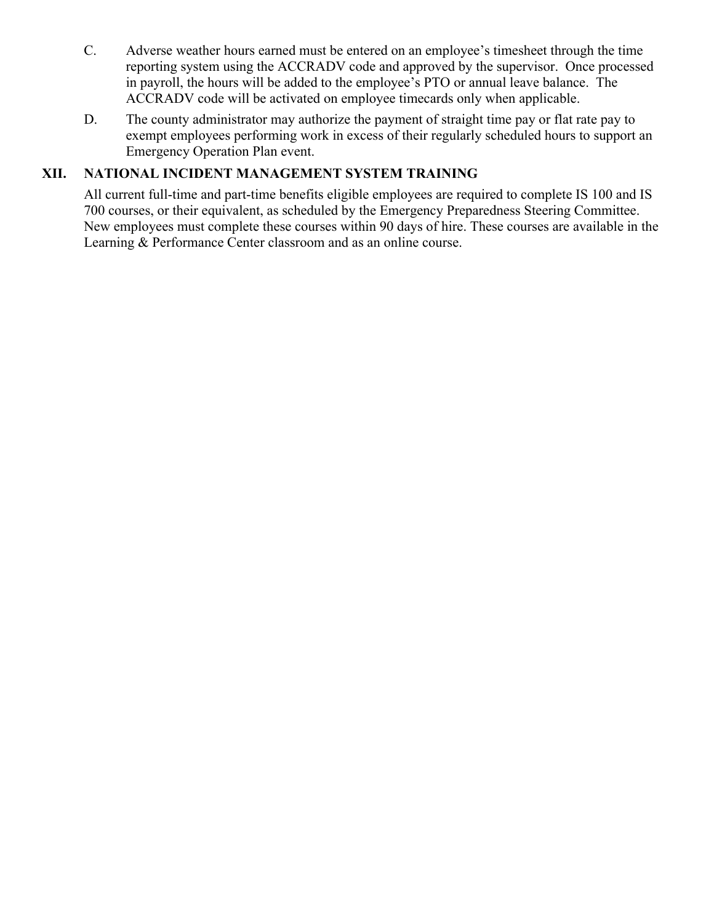- C. Adverse weather hours earned must be entered on an employee's timesheet through the time reporting system using the ACCRADV code and approved by the supervisor. Once processed in payroll, the hours will be added to the employee's PTO or annual leave balance. The ACCRADV code will be activated on employee timecards only when applicable.
- D. The county administrator may authorize the payment of straight time pay or flat rate pay to exempt employees performing work in excess of their regularly scheduled hours to support an Emergency Operation Plan event.

## **XII. NATIONAL INCIDENT MANAGEMENT SYSTEM TRAINING**

All current full-time and part-time benefits eligible employees are required to complete IS 100 and IS 700 courses, or their equivalent, as scheduled by the Emergency Preparedness Steering Committee. New employees must complete these courses within 90 days of hire. These courses are available in the Learning & Performance Center classroom and as an online course.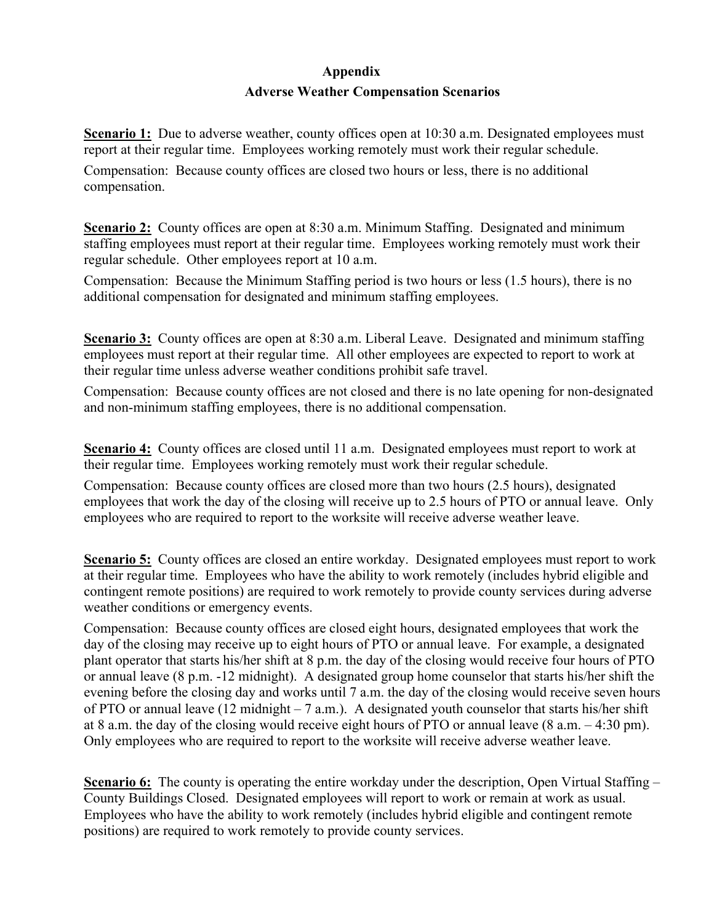# **Appendix Adverse Weather Compensation Scenarios**

**Scenario 1:** Due to adverse weather, county offices open at 10:30 a.m. Designated employees must report at their regular time. Employees working remotely must work their regular schedule.

Compensation: Because county offices are closed two hours or less, there is no additional compensation.

**Scenario 2:** County offices are open at 8:30 a.m. Minimum Staffing. Designated and minimum staffing employees must report at their regular time. Employees working remotely must work their regular schedule. Other employees report at 10 a.m.

Compensation: Because the Minimum Staffing period is two hours or less (1.5 hours), there is no additional compensation for designated and minimum staffing employees.

**Scenario 3:** County offices are open at 8:30 a.m. Liberal Leave. Designated and minimum staffing employees must report at their regular time. All other employees are expected to report to work at their regular time unless adverse weather conditions prohibit safe travel.

Compensation: Because county offices are not closed and there is no late opening for non-designated and non-minimum staffing employees, there is no additional compensation.

**Scenario 4:** County offices are closed until 11 a.m. Designated employees must report to work at their regular time. Employees working remotely must work their regular schedule.

Compensation: Because county offices are closed more than two hours (2.5 hours), designated employees that work the day of the closing will receive up to 2.5 hours of PTO or annual leave. Only employees who are required to report to the worksite will receive adverse weather leave.

**Scenario 5:** County offices are closed an entire workday. Designated employees must report to work at their regular time. Employees who have the ability to work remotely (includes hybrid eligible and contingent remote positions) are required to work remotely to provide county services during adverse weather conditions or emergency events.

Compensation: Because county offices are closed eight hours, designated employees that work the day of the closing may receive up to eight hours of PTO or annual leave. For example, a designated plant operator that starts his/her shift at 8 p.m. the day of the closing would receive four hours of PTO or annual leave (8 p.m. -12 midnight). A designated group home counselor that starts his/her shift the evening before the closing day and works until 7 a.m. the day of the closing would receive seven hours of PTO or annual leave (12 midnight – 7 a.m.). A designated youth counselor that starts his/her shift at 8 a.m. the day of the closing would receive eight hours of PTO or annual leave (8 a.m. – 4:30 pm). Only employees who are required to report to the worksite will receive adverse weather leave.

**Scenario 6:** The county is operating the entire workday under the description, Open Virtual Staffing – County Buildings Closed. Designated employees will report to work or remain at work as usual. Employees who have the ability to work remotely (includes hybrid eligible and contingent remote positions) are required to work remotely to provide county services.